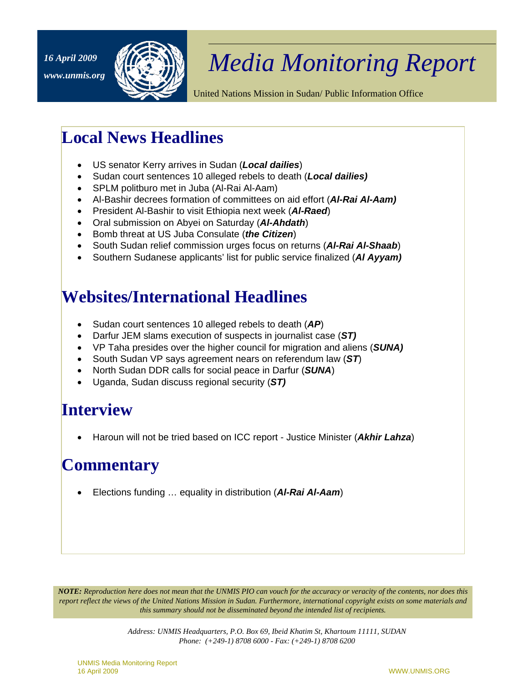

## *Media Monitoring Report 16 April 2009*

United Nations Mission in Sudan/ Public Information Office

## **Local News Headlines**

- US senator Kerry arrives in Sudan (*Local dailies*)
- Sudan court sentences 10 alleged rebels to death (*Local dailies)*
- SPLM politburo met in Juba (Al-Rai Al-Aam)
- Al-Bashir decrees formation of committees on aid effort (*Al-Rai Al-Aam)*
- President Al-Bashir to visit Ethiopia next week (*Al-Raed*)
- Oral submission on Abyei on Saturday (*Al-Ahdath*)
- Bomb threat at US Juba Consulate (*the Citizen*)
- South Sudan relief commission urges focus on returns (*Al-Rai Al-Shaab*)
- Southern Sudanese applicants' list for public service finalized (*Al Ayyam)*

## **Websites/International Headlines**

- Sudan court sentences 10 alleged rebels to death (*AP*)
- Darfur JEM slams execution of suspects in journalist case (*ST)*
- VP Taha presides over the higher council for migration and aliens (*SUNA)*
- South Sudan VP says agreement nears on referendum law (*ST*)
- North Sudan DDR calls for social peace in Darfur (*SUNA*)
- Uganda, Sudan discuss regional security (*ST)*

## **Interview**

• Haroun will not be tried based on ICC report - Justice Minister (*Akhir Lahza*)

## **Commentary**

• Elections funding … equality in distribution (*Al-Rai Al-Aam*)

*NOTE: Reproduction here does not mean that the UNMIS PIO can vouch for the accuracy or veracity of the contents, nor does this report reflect the views of the United Nations Mission in Sudan. Furthermore, international copyright exists on some materials and this summary should not be disseminated beyond the intended list of recipients.* 

> *Address: UNMIS Headquarters, P.O. Box 69, Ibeid Khatim St, Khartoum 11111, SUDAN Phone: (+249-1) 8708 6000 - Fax: (+249-1) 8708 6200*

UNMIS Media Monitoring Report 16 April 2009 WWW.UNMIS.ORG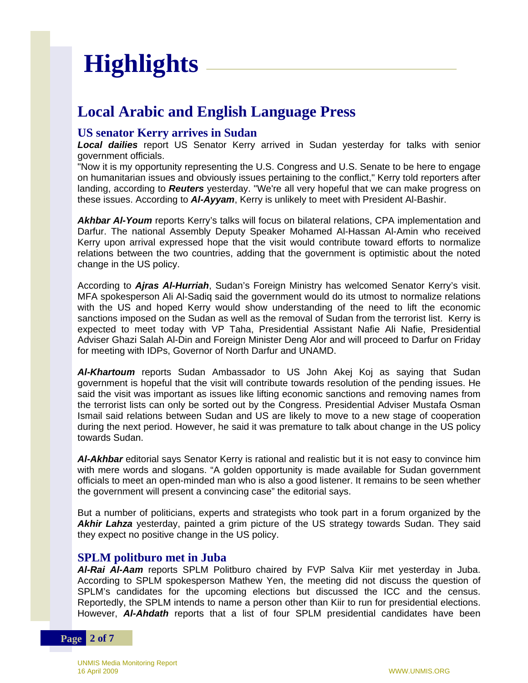# **Highlights**

### **Local Arabic and English Language Press**

#### **US senator Kerry arrives in Sudan**

*Local dailies* report US Senator Kerry arrived in Sudan yesterday for talks with senior government officials.

"Now it is my opportunity representing the U.S. Congress and U.S. Senate to be here to engage on humanitarian issues and obviously issues pertaining to the conflict," Kerry told reporters after landing, according to *Reuters* yesterday. "We're all very hopeful that we can make progress on these issues. According to *Al-Ayyam*, Kerry is unlikely to meet with President Al-Bashir.

*Akhbar Al-Youm* reports Kerry's talks will focus on bilateral relations, CPA implementation and Darfur. The national Assembly Deputy Speaker Mohamed Al-Hassan Al-Amin who received Kerry upon arrival expressed hope that the visit would contribute toward efforts to normalize relations between the two countries, adding that the government is optimistic about the noted change in the US policy.

According to *Ajras Al-Hurriah*, Sudan's Foreign Ministry has welcomed Senator Kerry's visit. MFA spokesperson Ali Al-Sadiq said the government would do its utmost to normalize relations with the US and hoped Kerry would show understanding of the need to lift the economic sanctions imposed on the Sudan as well as the removal of Sudan from the terrorist list. Kerry is expected to meet today with VP Taha, Presidential Assistant Nafie Ali Nafie, Presidential Adviser Ghazi Salah Al-Din and Foreign Minister Deng Alor and will proceed to Darfur on Friday for meeting with IDPs, Governor of North Darfur and UNAMD.

*Al-Khartoum* reports Sudan Ambassador to US John Akej Koj as saying that Sudan government is hopeful that the visit will contribute towards resolution of the pending issues. He said the visit was important as issues like lifting economic sanctions and removing names from the terrorist lists can only be sorted out by the Congress. Presidential Adviser Mustafa Osman Ismail said relations between Sudan and US are likely to move to a new stage of cooperation during the next period. However, he said it was premature to talk about change in the US policy towards Sudan.

*Al-Akhbar* editorial says Senator Kerry is rational and realistic but it is not easy to convince him with mere words and slogans. "A golden opportunity is made available for Sudan government officials to meet an open-minded man who is also a good listener. It remains to be seen whether the government will present a convincing case" the editorial says.

But a number of politicians, experts and strategists who took part in a forum organized by the *Akhir Lahza* yesterday, painted a grim picture of the US strategy towards Sudan. They said they expect no positive change in the US policy.

#### **SPLM politburo met in Juba**

*Al-Rai Al-Aam* reports SPLM Politburo chaired by FVP Salva Kiir met yesterday in Juba. According to SPLM spokesperson Mathew Yen, the meeting did not discuss the question of SPLM's candidates for the upcoming elections but discussed the ICC and the census. Reportedly, the SPLM intends to name a person other than Kiir to run for presidential elections. However, *Al-Ahdath* reports that a list of four SPLM presidential candidates have been

#### **Page 2 of 7**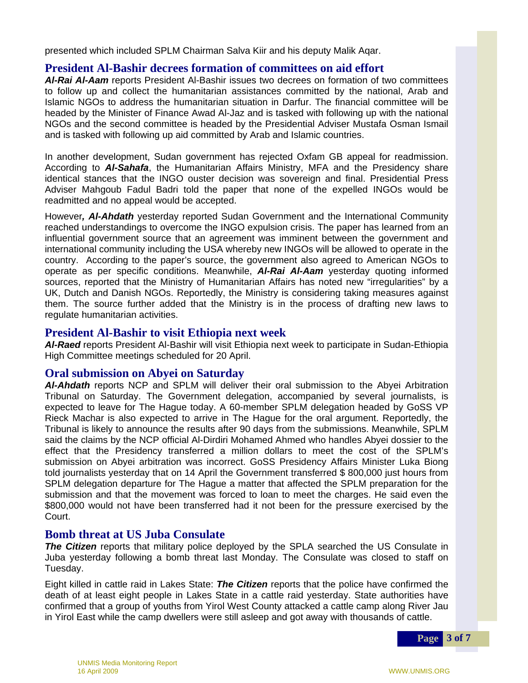presented which included SPLM Chairman Salva Kiir and his deputy Malik Aqar.

#### **President Al-Bashir decrees formation of committees on aid effort**

*Al-Rai Al-Aam* reports President Al-Bashir issues two decrees on formation of two committees to follow up and collect the humanitarian assistances committed by the national, Arab and Islamic NGOs to address the humanitarian situation in Darfur. The financial committee will be headed by the Minister of Finance Awad Al-Jaz and is tasked with following up with the national NGOs and the second committee is headed by the Presidential Adviser Mustafa Osman Ismail and is tasked with following up aid committed by Arab and Islamic countries.

In another development, Sudan government has rejected Oxfam GB appeal for readmission. According to *Al-Sahafa*, the Humanitarian Affairs Ministry, MFA and the Presidency share identical stances that the INGO ouster decision was sovereign and final. Presidential Press Adviser Mahgoub Fadul Badri told the paper that none of the expelled INGOs would be readmitted and no appeal would be accepted.

However*, Al-Ahdath* yesterday reported Sudan Government and the International Community reached understandings to overcome the INGO expulsion crisis. The paper has learned from an influential government source that an agreement was imminent between the government and international community including the USA whereby new INGOs will be allowed to operate in the country. According to the paper's source, the government also agreed to American NGOs to operate as per specific conditions. Meanwhile, *Al-Rai Al-Aam* yesterday quoting informed sources, reported that the Ministry of Humanitarian Affairs has noted new "irregularities" by a UK, Dutch and Danish NGOs. Reportedly, the Ministry is considering taking measures against them. The source further added that the Ministry is in the process of drafting new laws to regulate humanitarian activities.

#### **President Al-Bashir to visit Ethiopia next week**

*Al-Raed* reports President Al-Bashir will visit Ethiopia next week to participate in Sudan-Ethiopia High Committee meetings scheduled for 20 April.

#### **Oral submission on Abyei on Saturday**

*Al-Ahdath* reports NCP and SPLM will deliver their oral submission to the Abyei Arbitration Tribunal on Saturday. The Government delegation, accompanied by several journalists, is expected to leave for The Hague today. A 60-member SPLM delegation headed by GoSS VP Rieck Machar is also expected to arrive in The Hague for the oral argument. Reportedly, the Tribunal is likely to announce the results after 90 days from the submissions. Meanwhile, SPLM said the claims by the NCP official Al-Dirdiri Mohamed Ahmed who handles Abyei dossier to the effect that the Presidency transferred a million dollars to meet the cost of the SPLM's submission on Abyei arbitration was incorrect. GoSS Presidency Affairs Minister Luka Biong told journalists yesterday that on 14 April the Government transferred \$ 800,000 just hours from SPLM delegation departure for The Hague a matter that affected the SPLM preparation for the submission and that the movement was forced to loan to meet the charges. He said even the \$800,000 would not have been transferred had it not been for the pressure exercised by the Court.

#### **Bomb threat at US Juba Consulate**

*The Citizen* reports that military police deployed by the SPLA searched the US Consulate in Juba yesterday following a bomb threat last Monday. The Consulate was closed to staff on Tuesday.

Eight killed in cattle raid in Lakes State: *The Citizen* reports that the police have confirmed the death of at least eight people in Lakes State in a cattle raid yesterday. State authorities have confirmed that a group of youths from Yirol West County attacked a cattle camp along River Jau in Yirol East while the camp dwellers were still asleep and got away with thousands of cattle.

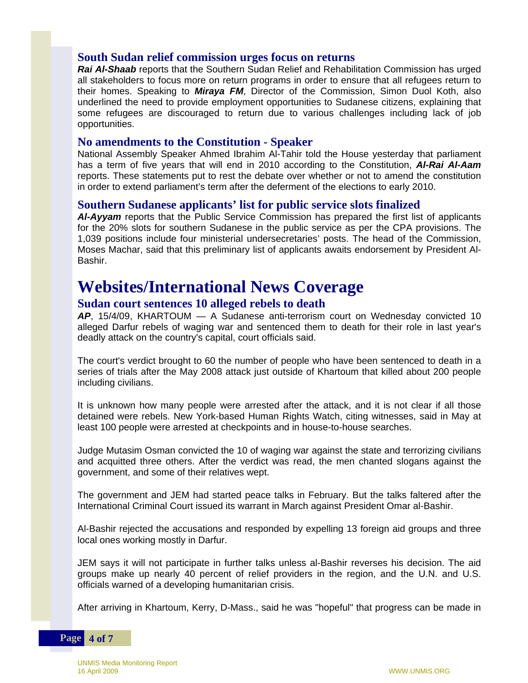#### **South Sudan relief commission urges focus on returns**

*Rai Al-Shaab* reports that the Southern Sudan Relief and Rehabilitation Commission has urged all stakeholders to focus more on return programs in order to ensure that all refugees return to their homes. Speaking to *Miraya FM*, Director of the Commission, Simon Duol Koth, also underlined the need to provide employment opportunities to Sudanese citizens, explaining that some refugees are discouraged to return due to various challenges including lack of job opportunities.

#### **No amendments to the Constitution - Speaker**

National Assembly Speaker Ahmed Ibrahim Al-Tahir told the House yesterday that parliament has a term of five years that will end in 2010 according to the Constitution, *Al-Rai Al-Aam* reports. These statements put to rest the debate over whether or not to amend the constitution in order to extend parliament's term after the deferment of the elections to early 2010.

#### **Southern Sudanese applicants' list for public service slots finalized**

*Al-Ayyam* reports that the Public Service Commission has prepared the first list of applicants for the 20% slots for southern Sudanese in the public service as per the CPA provisions. The 1,039 positions include four ministerial undersecretaries' posts. The head of the Commission, Moses Machar, said that this preliminary list of applicants awaits endorsement by President Al-Bashir.

## **Websites/International News Coverage**

#### **Sudan court sentences 10 alleged rebels to death**

*AP*, 15/4/09, KHARTOUM — A Sudanese anti-terrorism court on Wednesday convicted 10 alleged Darfur rebels of waging war and sentenced them to death for their role in last year's deadly attack on the country's capital, court officials said.

The court's verdict brought to 60 the number of people who have been sentenced to death in a series of trials after the May 2008 attack just outside of Khartoum that killed about 200 people including civilians.

It is unknown how many people were arrested after the attack, and it is not clear if all those detained were rebels. New York-based Human Rights Watch, citing witnesses, said in May at least 100 people were arrested at checkpoints and in house-to-house searches.

Judge Mutasim Osman convicted the 10 of waging war against the state and terrorizing civilians and acquitted three others. After the verdict was read, the men chanted slogans against the government, and some of their relatives wept.

The government and JEM had started peace talks in February. But the talks faltered after the International Criminal Court issued its warrant in March against President Omar al-Bashir.

Al-Bashir rejected the accusations and responded by expelling 13 foreign aid groups and three local ones working mostly in Darfur.

JEM says it will not participate in further talks unless al-Bashir reverses his decision. The aid groups make up nearly 40 percent of relief providers in the region, and the U.N. and U.S. officials warned of a developing humanitarian crisis.

After arriving in Khartoum, Kerry, D-Mass., said he was "hopeful" that progress can be made in

#### **Page 4 of 7**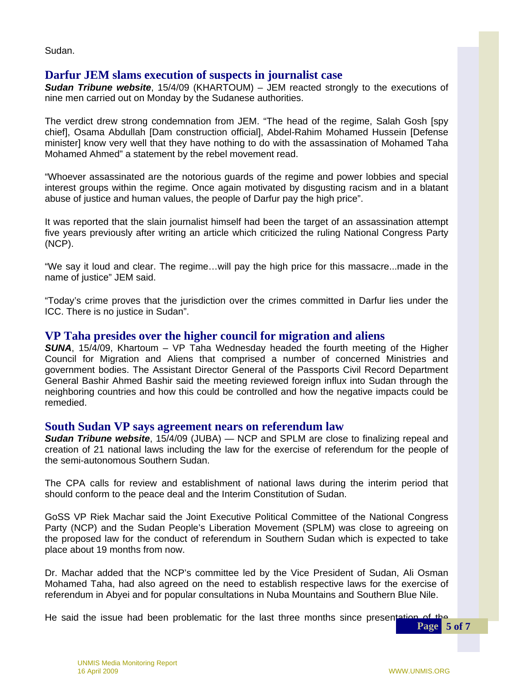Sudan.

#### **Darfur JEM slams execution of suspects in journalist case**

*Sudan Tribune website*, 15/4/09 (KHARTOUM) – JEM reacted strongly to the executions of nine men carried out on Monday by the Sudanese authorities.

The verdict drew strong condemnation from JEM. "The head of the regime, Salah Gosh [spy chief], Osama Abdullah [Dam construction official], Abdel-Rahim Mohamed Hussein [Defense minister] know very well that they have nothing to do with the assassination of Mohamed Taha Mohamed Ahmed" a statement by the rebel movement read.

"Whoever assassinated are the notorious guards of the regime and power lobbies and special interest groups within the regime. Once again motivated by disgusting racism and in a blatant abuse of justice and human values, the people of Darfur pay the high price".

It was reported that the slain journalist himself had been the target of an assassination attempt five years previously after writing an article which criticized the ruling National Congress Party (NCP).

"We say it loud and clear. The regime…will pay the high price for this massacre...made in the name of justice" JEM said.

"Today's crime proves that the jurisdiction over the crimes committed in Darfur lies under the ICC. There is no justice in Sudan".

#### **VP Taha presides over the higher council for migration and aliens**

 government bodies. The Assistant Director General of the Passports Civil Record Department *SUNA*, 15/4/09, Khartoum – VP Taha Wednesday headed the fourth meeting of the Higher Council for Migration and Aliens that comprised a number of concerned Ministries and General Bashir Ahmed Bashir said the meeting reviewed foreign influx into Sudan through the neighboring countries and how this could be controlled and how the negative impacts could be remedied.

#### **South Sudan VP says agreement nears on referendum law**

*Sudan Tribune website*, 15/4/09 (JUBA) — NCP and SPLM are close to finalizing repeal and creation of 21 national laws including the law for the exercise of referendum for the people of the semi-autonomous Southern Sudan.

The CPA calls for review and establishment of national laws during the interim period that should conform to the peace deal and the Interim Constitution of Sudan.

Party (NCP) and the Sudan People's Liberation Movement (SPLM) was close to agreeing on GoSS VP Riek Machar said the Joint Executive Political Committee of the National Congress the proposed law for the conduct of referendum in Southern Sudan which is expected to take place about 19 months from now.

Dr. Machar added that the NCP's committee led by the Vice President of Sudan, Ali Osman Mohamed Taha, had also agreed on the need to establish respective laws for the exercise of referendum in Abyei and for popular consultations in Nuba Mountains and Southern Blue Nile.

He said the issue had been problematic for the last three months since presentation of the **Page 5 of 7**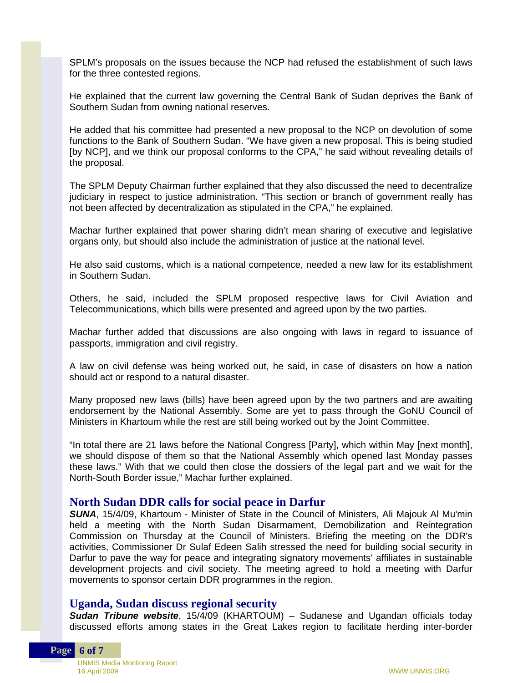SPLM's proposals on the issues because the NCP had refused the establishment of such laws for the three contested regions.

He explained that the current law governing the Central Bank of Sudan deprives the Bank of Southern Sudan from owning national reserves.

He added that his committee had presented a new proposal to the NCP on devolution of some functions to the Bank of Southern Sudan. "We have given a new proposal. This is being studied [by NCP], and we think our proposal conforms to the CPA," he said without revealing details of the proposal.

The SPLM Deputy Chairman further explained that they also discussed the need to decentralize judiciary in respect to justice administration. "This section or branch of government really has not been affected by decentralization as stipulated in the CPA," he explained.

Machar further explained that power sharing didn't mean sharing of executive and legislative organs only, but should also include the administration of justice at the national level.

He also said customs, which is a national competence, needed a new law for its establishment in Southern Sudan.

Others, he said, included the SPLM proposed respective laws for Civil Aviation and Telecommunications, which bills were presented and agreed upon by the two parties.

Machar further added that discussions are also ongoing with laws in regard to issuance of passports, immigration and civil registry.

A law on civil defense was being worked out, he said, in case of disasters on how a nation should act or respond to a natural disaster.

Many proposed new laws (bills) have been agreed upon by the two partners and are awaiting endorsement by the National Assembly. Some are yet to pass through the GoNU Council of Ministers in Khartoum while the rest are still being worked out by the Joint Committee.

"In total there are 21 laws before the National Congress [Party], which within May [next month], we should dispose of them so that the National Assembly which opened last Monday passes these laws." With that we could then close the dossiers of the legal part and we wait for the North-South Border issue," Machar further explained.

#### **North Sudan DDR calls for social peace in Darfur**

*SUNA*, 15/4/09, Khartoum - Minister of State in the Council of Ministers, Ali Majouk Al Mu'min held a meeting with the North Sudan Disarmament, Demobilization and Reintegration Commission on Thursday at the Council of Ministers. Briefing the meeting on the DDR's activities, Commissioner Dr Sulaf Edeen Salih stressed the need for building social security in Darfur to pave the way for peace and integrating signatory movements' affiliates in sustainable development projects and civil society. The meeting agreed to hold a meeting with Darfur movements to sponsor certain DDR programmes in the region.

#### **Uganda, Sudan discuss regional security**

*Sudan Tribune website*, 15/4/09 (KHARTOUM) – Sudanese and Ugandan officials today discussed efforts among states in the Great Lakes region to facilitate herding inter-border